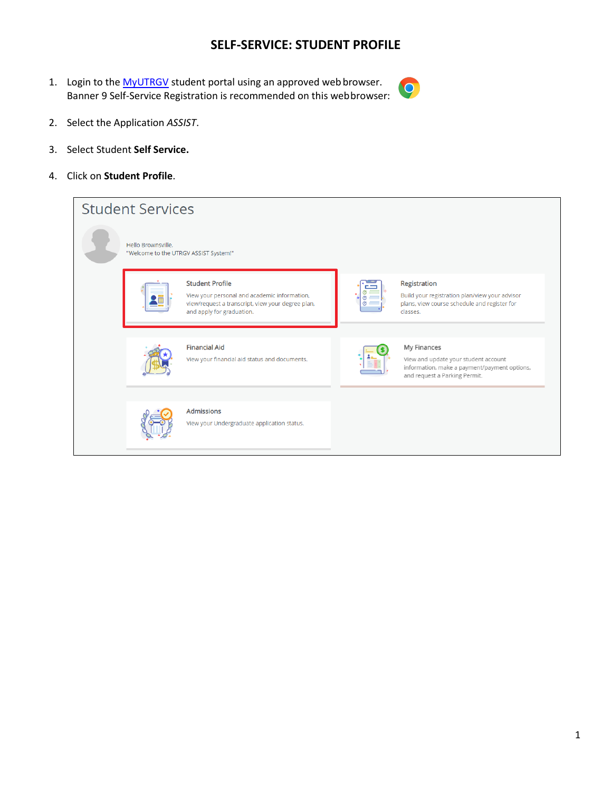## **SELF-SERVICE: STUDENT PROFILE**

1. Login to the [MyUTRGV](https://my.utrgv.edu/home) student portal using an approved web browser. Banner 9 Self-Service Registration is recommended on this webbrowser:



- 2. Select the Application *ASSIST*.
- 3. Select Student **Self Service.**
- 4. Click on **Student Profile**.

| <b>Student Services</b>                                     |                                                                                                                                                          |                                                                                                                                      |
|-------------------------------------------------------------|----------------------------------------------------------------------------------------------------------------------------------------------------------|--------------------------------------------------------------------------------------------------------------------------------------|
| Hello Brownsville.<br>"Welcome to the UTRGV ASSIST System!" |                                                                                                                                                          |                                                                                                                                      |
|                                                             | <b>Student Profile</b><br>View your personal and academic information,<br>view/request a transcript, view your degree plan,<br>and apply for graduation. | Registration<br>Build your registration plan/view your advisor<br>plans, view course schedule and register for<br>classes.           |
|                                                             | <b>Financial Aid</b><br>View your financial aid status and documents.                                                                                    | My Finances<br>View and update your student account<br>information, make a payment/payment options,<br>and request a Parking Permit. |
|                                                             | <b>Admissions</b><br>View your Undergraduate application status.                                                                                         |                                                                                                                                      |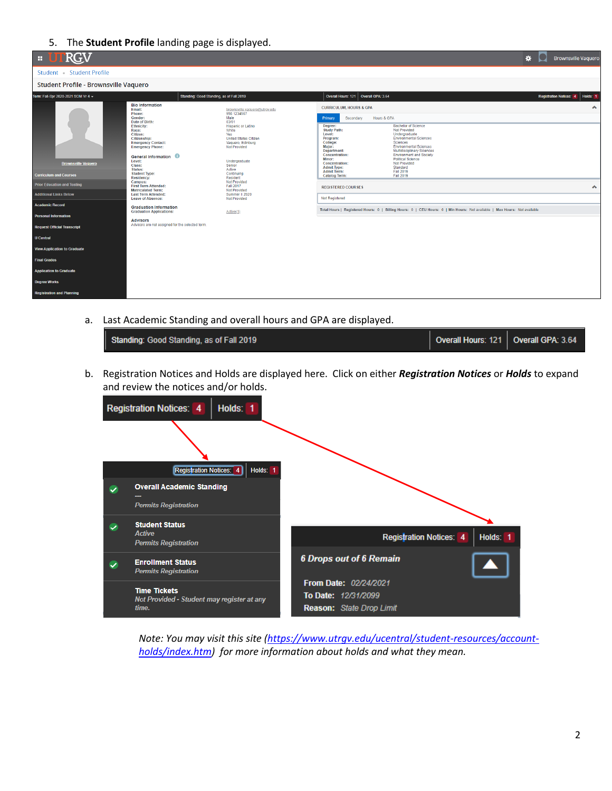## 5. The **Student Profile** landing page is displayed.



a. Last Academic Standing and overall hours and GPA are displayed.

| Standing: Good Standing, as of Fall 2019 | Overall Hours: 121   Overall GPA: 3.64 |  |
|------------------------------------------|----------------------------------------|--|
|                                          |                                        |  |

b. Registration Notices and Holds are displayed here. Click on either *Registration Notices* or *Holds* to expand and review the notices and/or holds.



*Note: You may visit this site [\(https://www.utrgv.edu/ucentral/student-resources/account](https://www.utrgv.edu/ucentral/student-resources/account-holds/index.htm)[holds/index.htm\)](https://www.utrgv.edu/ucentral/student-resources/account-holds/index.htm) for more information about holds and what they mean.*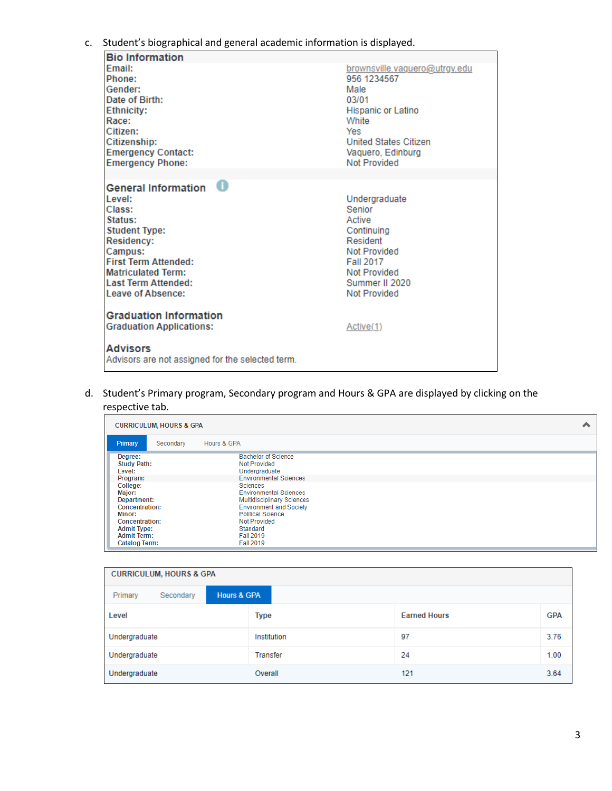## c. Student's biographical and general academic information is displayed.

| <b>Bio Information</b>                                                                                                                                                                                                                        |                                                                                                                                                                          |
|-----------------------------------------------------------------------------------------------------------------------------------------------------------------------------------------------------------------------------------------------|--------------------------------------------------------------------------------------------------------------------------------------------------------------------------|
| Email:<br>Phone:<br>Gender:<br>Date of Birth:<br><b>Ethnicity:</b><br>Race:<br>Citizen:<br>Citizenship:<br><b>Emergency Contact:</b><br><b>Emergency Phone:</b>                                                                               | brownsville.vaquero@utrqv.edu<br>956 1234567<br>Male<br>03/01<br>Hispanic or Latino<br>White<br>Yes<br><b>United States Citizen</b><br>Vaguero, Edinburg<br>Not Provided |
|                                                                                                                                                                                                                                               |                                                                                                                                                                          |
| General Information <sup>1</sup><br>Level:<br>Class:<br>Status:<br><b>Student Type:</b><br><b>Residency:</b><br>Campus:<br><b>First Term Attended:</b><br><b>Matriculated Term:</b><br><b>Last Term Attended:</b><br><b>Leave of Absence:</b> | Undergraduate<br>Senior<br>Active<br>Continuina<br>Resident<br>Not Provided<br><b>Fall 2017</b><br>Not Provided<br>Summer II 2020<br>Not Provided                        |
| <b>Graduation Information</b><br><b>Graduation Applications:</b><br><b>Advisors</b>                                                                                                                                                           | Active(1)                                                                                                                                                                |
| Advisors are not assigned for the selected term.                                                                                                                                                                                              |                                                                                                                                                                          |

d. Student's Primary program, Secondary program and Hours & GPA are displayed by clicking on the

## respective tab.

| <b>CURRICULUM, HOURS &amp; GPA</b>                                                                                                                                                                         |                                                                                                                                                                                                                                                                                                    | ^ |
|------------------------------------------------------------------------------------------------------------------------------------------------------------------------------------------------------------|----------------------------------------------------------------------------------------------------------------------------------------------------------------------------------------------------------------------------------------------------------------------------------------------------|---|
| Primary<br>Hours & GPA<br>Secondary                                                                                                                                                                        |                                                                                                                                                                                                                                                                                                    |   |
| Degree:<br><b>Study Path:</b><br>Level:<br>Program:<br>College:<br>Major:<br>Department:<br>Concentration:<br>Minor:<br>Concentration:<br><b>Admit Type:</b><br><b>Admit Term:</b><br><b>Catalog Term:</b> | <b>Bachelor of Science</b><br>Not Provided<br>Undergraduate<br><b>Environmental Sciences</b><br>Sciences<br><b>Environmental Sciences</b><br><b>Multidisciplinary Sciences</b><br><b>Environment and Society</b><br>Political Science<br><b>Not Provided</b><br>Standard<br>Fall 2019<br>Fall 2019 |   |

| <b>CURRICULUM, HOURS &amp; GPA</b>             |             |                     |            |  |
|------------------------------------------------|-------------|---------------------|------------|--|
| <b>Hours &amp; GPA</b><br>Primary<br>Secondary |             |                     |            |  |
| Level                                          | <b>Type</b> | <b>Earned Hours</b> | <b>GPA</b> |  |
| Undergraduate                                  | Institution | 97                  | 3.76       |  |
| Undergraduate                                  | Transfer    | 24                  | 1.00       |  |
| Undergraduate                                  | Overall     | 121                 | 3.64       |  |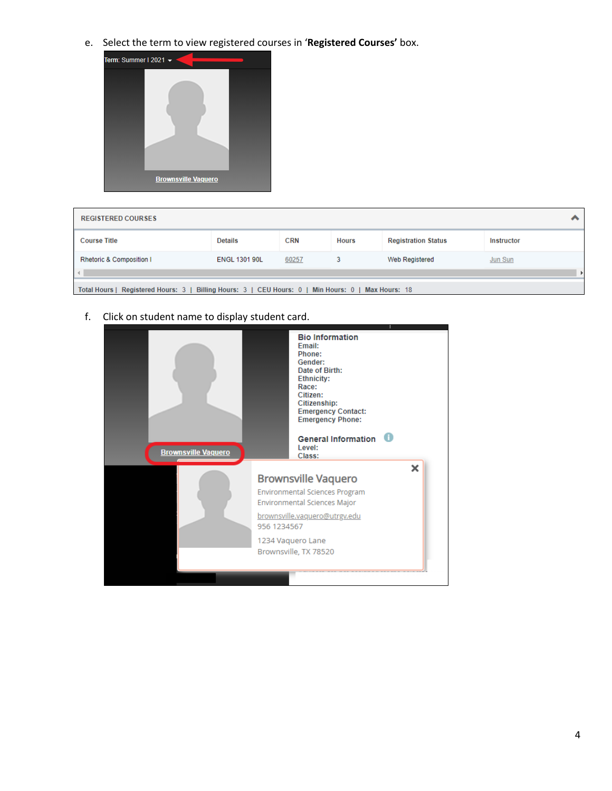e. Select the term to view registered courses in '**Registered Courses'** box.



| <b>REGISTERED COURSES</b>         |                                                                |            |              |                            | $\ddot{\phantom{1}}$ |  |  |
|-----------------------------------|----------------------------------------------------------------|------------|--------------|----------------------------|----------------------|--|--|
| <b>Course Title</b>               | <b>Details</b>                                                 | <b>CRN</b> | <b>Hours</b> | <b>Registration Status</b> | <b>Instructor</b>    |  |  |
| Rhetoric & Composition I          | <b>ENGL 1301 90L</b>                                           | 60257      | 3            | Web Registered             | <b>Jun Sun</b>       |  |  |
|                                   |                                                                |            |              |                            |                      |  |  |
| Total Hours   Registered Hours: 3 | Billing Hours: 3   CEU Hours: 0   Min Hours: 0   Max Hours: 18 |            |              |                            |                      |  |  |

f. Click on student name to display student card.

| <b>Brownsville Vaquero</b> | <b>Bio Information</b><br>Email:<br>Phone:<br>Gender:<br>Date of Birth:<br><b>Ethnicity:</b><br>Race:<br>Citizen:<br><b>Citizenship:</b><br><b>Emergency Contact:</b><br><b>Emergency Phone:</b><br>General Information <sup>0</sup><br>Level:<br>Class: |
|----------------------------|----------------------------------------------------------------------------------------------------------------------------------------------------------------------------------------------------------------------------------------------------------|
|                            | ×<br><b>Brownsville Vaquero</b><br><b>Environmental Sciences Program</b><br>Environmental Sciences Major<br>brownsville.vaguero@utrgv.edu<br>956 1234567                                                                                                 |
|                            | 1234 Vaguero Lane<br>Brownsville, TX 78520                                                                                                                                                                                                               |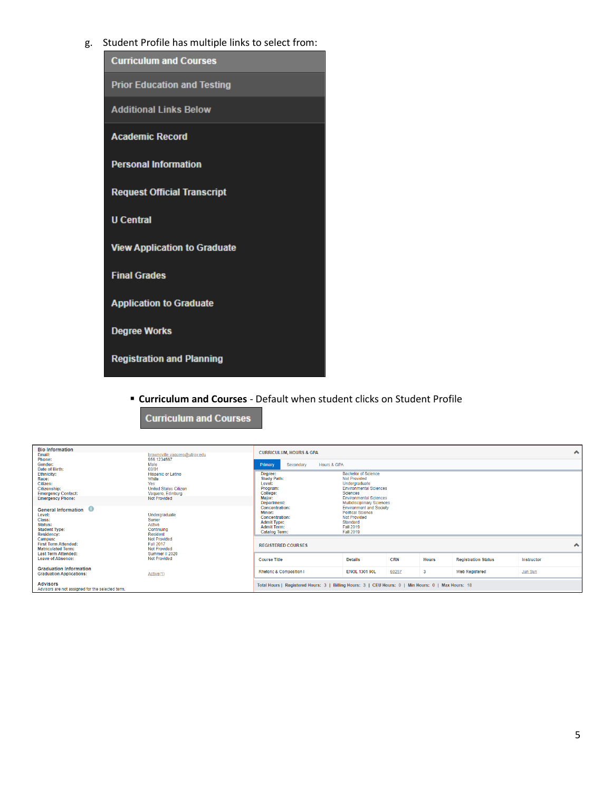g. Student Profile has multiple links to select from:

| <b>Curriculum and Courses</b>       |
|-------------------------------------|
| <b>Prior Education and Testing</b>  |
| <b>Additional Links Below</b>       |
| <b>Academic Record</b>              |
| <b>Personal Information</b>         |
| <b>Request Official Transcript</b>  |
| <b>U</b> Central                    |
| <b>View Application to Graduate</b> |
| <b>Final Grades</b>                 |
| <b>Application to Graduate</b>      |
| <b>Degree Works</b>                 |
| <b>Registration and Planning</b>    |

**Curriculum and Courses** 

▪ **Curriculum and Courses** - Default when student clicks on Student Profile

| <b>Bio Information</b><br>Email:<br>Phone:<br>Gender:                                                                                                                              | brownsville.vaguero@utrgv.edu<br>956 1234567<br>Male                                                                    | <b>CURRICULUM, HOURS &amp; GPA</b><br>Secondary<br>Hours & GPA<br>Primary                                      |                                                                                                                                                                                       |            |              |                            |                | ㅅ           |
|------------------------------------------------------------------------------------------------------------------------------------------------------------------------------------|-------------------------------------------------------------------------------------------------------------------------|----------------------------------------------------------------------------------------------------------------|---------------------------------------------------------------------------------------------------------------------------------------------------------------------------------------|------------|--------------|----------------------------|----------------|-------------|
| Date of Birth:<br><b>Ethnicity:</b><br>Race:<br>Citizen:<br>Citizenship:<br><b>Emergency Contact:</b><br><b>Emergency Phone:</b>                                                   | 03/01<br><b>Hispanic or Latino</b><br>White<br>Yes<br><b>United States Citizen</b><br>Vaguero, Edinburg<br>Not Provided | Degree:<br><b>Study Path:</b><br>Level:<br>Program:<br>College:<br>Major:<br><b>Department:</b>                | <b>Bachelor of Science</b><br><b>Not Provided</b><br>Undergraduate<br><b>Environmental Sciences</b><br>Sciences<br><b>Environmental Sciences</b><br><b>Multidisciplinary Sciences</b> |            |              |                            |                |             |
| -0<br><b>General Information</b><br>Level:<br>Undergraduate<br>Class:<br>Senior<br>Status:<br>Active<br><b>Student Type:</b><br>Continuing<br><b>Resident</b><br><b>Residency:</b> |                                                                                                                         | Concentration:<br>Minor:<br>Concentration:<br><b>Admit Type:</b><br><b>Admit Term:</b><br><b>Catalog Term:</b> | <b>Environment and Society</b><br><b>Political Science</b><br>Not Provided<br>Standard<br><b>Fall 2019</b><br><b>Fall 2019</b>                                                        |            |              |                            |                |             |
| Campus:<br><b>First Term Attended:</b><br><b>Matriculated Term:</b>                                                                                                                | Not Provided<br><b>Fall 2017</b><br>Not Provided<br>Summer II 2020                                                      | <b>REGISTERED COURSES</b>                                                                                      |                                                                                                                                                                                       |            |              |                            |                | $\triangle$ |
| <b>Last Term Attended:</b><br>Leave of Absence:                                                                                                                                    | Not Provided                                                                                                            | <b>Course Title</b>                                                                                            | <b>Details</b>                                                                                                                                                                        | <b>CRN</b> | <b>Hours</b> | <b>Registration Status</b> | Instructor     |             |
| <b>Graduation Information</b><br><b>Graduation Applications:</b>                                                                                                                   | Active(1)                                                                                                               | <b>Rhetoric &amp; Composition I</b>                                                                            | <b>ENGL 1301 90L</b>                                                                                                                                                                  | 60257      | 3            | <b>Web Registered</b>      | <b>Jun Sun</b> |             |
| <b>Advisors</b><br>Advisors are not assigned for the selected term.                                                                                                                |                                                                                                                         | Total Hours   Registered Hours: 3   Billing Hours: 3   CEU Hours: 0   Min Hours: 0   Max Hours: 18             |                                                                                                                                                                                       |            |              |                            |                |             |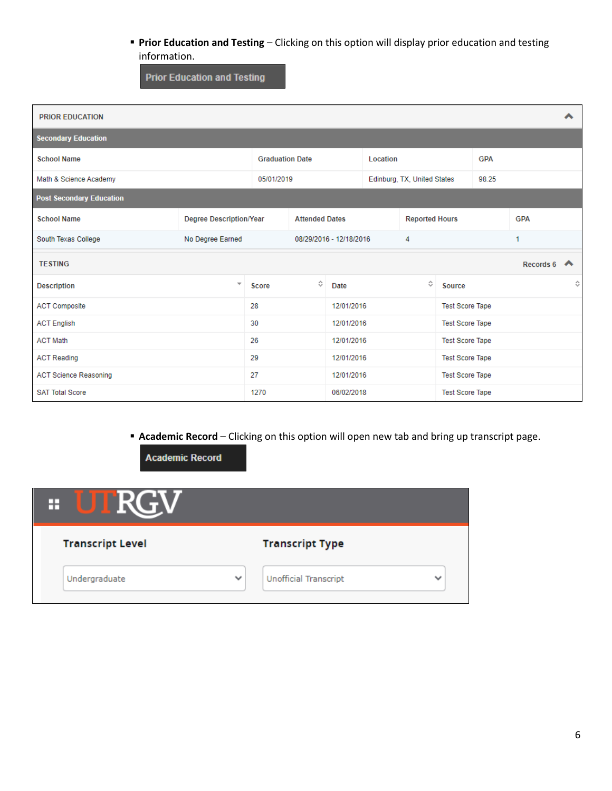▪ **Prior Education and Testing** – Clicking on this option will display prior education and testing information.

**Prior Education and Testing** 

| <b>PRIOR EDUCATION</b>          |                                |                        |                       |                         |          |                             |                        |            |                         |   |
|---------------------------------|--------------------------------|------------------------|-----------------------|-------------------------|----------|-----------------------------|------------------------|------------|-------------------------|---|
| <b>Secondary Education</b>      |                                |                        |                       |                         |          |                             |                        |            |                         |   |
| <b>School Name</b>              |                                | <b>Graduation Date</b> |                       |                         | Location |                             |                        | <b>GPA</b> |                         |   |
| Math & Science Academy          |                                | 05/01/2019             |                       |                         |          | Edinburg, TX, United States |                        | 98.25      |                         |   |
| <b>Post Secondary Education</b> |                                |                        |                       |                         |          |                             |                        |            |                         |   |
| <b>School Name</b>              | <b>Degree Description/Year</b> |                        | <b>Attended Dates</b> |                         |          | <b>Reported Hours</b>       |                        |            | <b>GPA</b>              |   |
| South Texas College             | No Degree Earned               |                        |                       | 08/29/2016 - 12/18/2016 |          | 4                           |                        |            | 1                       |   |
| <b>TESTING</b>                  |                                |                        |                       |                         |          |                             |                        |            | Records 6 $\rightarrow$ |   |
| <b>Description</b>              | $\overline{\phantom{a}}$       | <b>Score</b>           | ≎                     | Date                    |          | ≎                           | Source                 |            |                         | ≎ |
| <b>ACT Composite</b>            |                                | 28                     |                       | 12/01/2016              |          |                             | <b>Test Score Tape</b> |            |                         |   |
| <b>ACT English</b>              |                                | 30                     |                       | 12/01/2016              |          |                             | <b>Test Score Tape</b> |            |                         |   |
| <b>ACT Math</b>                 |                                | 26                     |                       | 12/01/2016              |          |                             | <b>Test Score Tape</b> |            |                         |   |
| <b>ACT Reading</b>              |                                | 29                     |                       | 12/01/2016              |          |                             | <b>Test Score Tape</b> |            |                         |   |
| <b>ACT Science Reasoning</b>    |                                | 27                     |                       | 12/01/2016              |          |                             | <b>Test Score Tape</b> |            |                         |   |
| <b>SAT Total Score</b>          |                                | 1270                   |                       | 06/02/2018              |          |                             | <b>Test Score Tape</b> |            |                         |   |

▪ **Academic Record** – Clicking on this option will open new tab and bring up transcript page.

**Academic Record** 

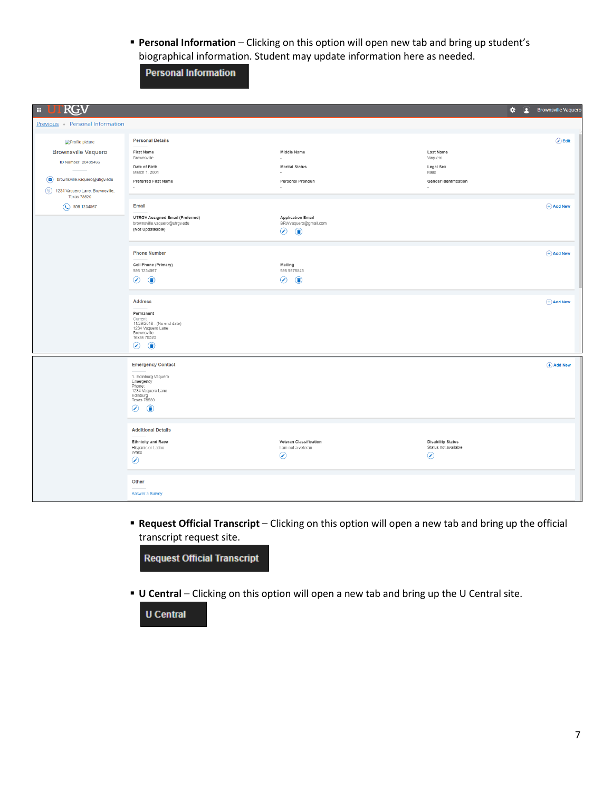▪ **Personal Information** – Clicking on this option will open new tab and bring up student's biographical information. Student may update information here as needed.

**Personal Information** 

| <b>RGV</b><br>H.                                          |                                                                                                                   |                                                                     | $\star$                                                     | <b>C</b> Brownsville Vaquero |
|-----------------------------------------------------------|-------------------------------------------------------------------------------------------------------------------|---------------------------------------------------------------------|-------------------------------------------------------------|------------------------------|
| Previous Personal Information                             |                                                                                                                   |                                                                     |                                                             |                              |
| Profile picture                                           | <b>Personal Details</b>                                                                                           |                                                                     |                                                             | $\oslash$ Edit               |
| <b>Brownsville Vaquero</b>                                | <b>First Name</b><br>Brownsville                                                                                  | Middle Name                                                         | Last Name<br>Vaquero                                        |                              |
| ID Number: 20435466                                       | Date of Birth<br>March 1, 2001                                                                                    | <b>Marital Status</b>                                               | Legal Sex<br>Male                                           |                              |
| brownsville.vaquero@utrgv.edu                             | Preferred First Name                                                                                              | Personal Pronoun                                                    | <b>Gender Identification</b>                                |                              |
| (9) 1234 Vaquero Lane, Brownsville,<br><b>Texas 78520</b> | $\overline{\phantom{a}}$                                                                                          | o a                                                                 | ÷                                                           |                              |
| $\odot$ 956 1234567                                       | Email                                                                                                             |                                                                     |                                                             | $(A)$ Add New                |
|                                                           | <b>UTRGV Assigned Email (Preferred)</b><br>brownsville.vaquero@utrgv.edu<br>(Not Updateable)                      | <b>Application Email</b><br>BRWvaquero@gmail.com<br>◉<br>$\bigcirc$ |                                                             |                              |
|                                                           | <b>Phone Number</b>                                                                                               |                                                                     |                                                             | $(A)$ Add New                |
|                                                           | Cell Phone (Primary)<br>956 1234567                                                                               | Mailing<br>956 9876543                                              |                                                             |                              |
|                                                           | ⊙<br>$\bigcirc$                                                                                                   | $\odot$<br>$\bigcirc$                                               |                                                             |                              |
|                                                           | <b>Address</b><br>Permanent                                                                                       |                                                                     |                                                             | $(A)$ Add New                |
|                                                           | Current<br>11/29/2018 - (No end date)<br>1234 Vaquero Lane<br>Brownsville<br>Texas 78520<br>$\odot$<br>$\bigcirc$ |                                                                     |                                                             |                              |
|                                                           | <b>Emergency Contact</b>                                                                                          |                                                                     |                                                             | $(A)$ Add New                |
|                                                           | 1. Edinburg Vaquero                                                                                               |                                                                     |                                                             |                              |
|                                                           | Emergency<br>Phone:<br>1234 Vaquero Lane<br>Edinburg                                                              |                                                                     |                                                             |                              |
|                                                           | Texas 78539<br>⊙<br>$\bigcirc$                                                                                    |                                                                     |                                                             |                              |
|                                                           | <b>Additional Details</b>                                                                                         |                                                                     |                                                             |                              |
|                                                           | <b>Ethnicity and Race</b><br>Hispanic or Latino<br>White<br>$\odot$                                               | Veteran Classification<br>I am not a veteran<br>$\odot$             | <b>Disability Status</b><br>Status not available<br>$\odot$ |                              |
|                                                           |                                                                                                                   |                                                                     |                                                             |                              |
|                                                           | Other                                                                                                             |                                                                     |                                                             |                              |
|                                                           | Answer a Survey                                                                                                   |                                                                     |                                                             |                              |

▪ **Request Official Transcript** – Clicking on this option will open a new tab and bring up the official transcript request site.



▪ **U Central** – Clicking on this option will open a new tab and bring up the U Central site.

**U** Central